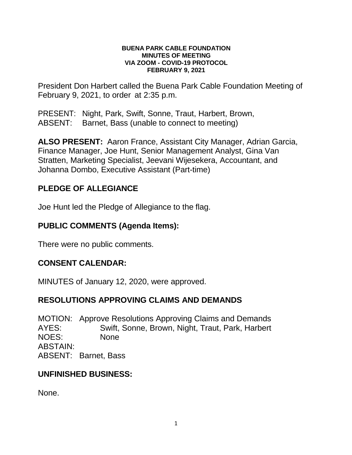#### **BUENA PARK CABLE FOUNDATION MINUTES OF MEETING VIA ZOOM - COVID-19 PROTOCOL FEBRUARY 9, 2021**

President Don Harbert called the Buena Park Cable Foundation Meeting of February 9, 2021, to order at 2:35 p.m.

PRESENT: Night, Park, Swift, Sonne, Traut, Harbert, Brown, ABSENT: Barnet, Bass (unable to connect to meeting)

**ALSO PRESENT:** Aaron France, Assistant City Manager, Adrian Garcia, Finance Manager, Joe Hunt, Senior Management Analyst, Gina Van Stratten, Marketing Specialist, Jeevani Wijesekera, Accountant, and Johanna Dombo, Executive Assistant (Part-time)

# **PLEDGE OF ALLEGIANCE**

Joe Hunt led the Pledge of Allegiance to the flag.

## **PUBLIC COMMENTS (Agenda Items):**

There were no public comments.

## **CONSENT CALENDAR:**

MINUTES of January 12, 2020, were approved.

### **RESOLUTIONS APPROVING CLAIMS AND DEMANDS**

MOTION: Approve Resolutions Approving Claims and Demands AYES: Swift, Sonne, Brown, Night, Traut, Park, Harbert NOES: None ABSTAIN: ABSENT: Barnet, Bass

### **UNFINISHED BUSINESS:**

None.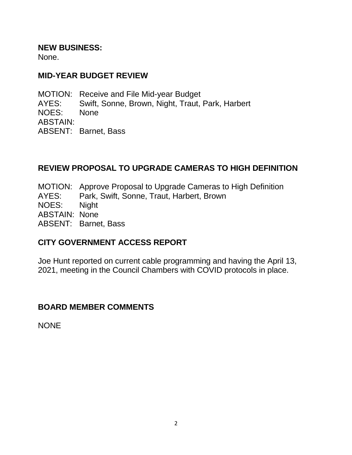#### **NEW BUSINESS:**

None.

### **MID-YEAR BUDGET REVIEW**

MOTION: Receive and File Mid-year Budget AYES: Swift, Sonne, Brown, Night, Traut, Park, Harbert NOES: None ABSTAIN: ABSENT: Barnet, Bass

# **REVIEW PROPOSAL TO UPGRADE CAMERAS TO HIGH DEFINITION**

MOTION: Approve Proposal to Upgrade Cameras to High Definition AYES: Park, Swift, Sonne, Traut, Harbert, Brown NOES: Night ABSTAIN: None ABSENT: Barnet, Bass

## **CITY GOVERNMENT ACCESS REPORT**

Joe Hunt reported on current cable programming and having the April 13, 2021, meeting in the Council Chambers with COVID protocols in place.

## **BOARD MEMBER COMMENTS**

**NONE**